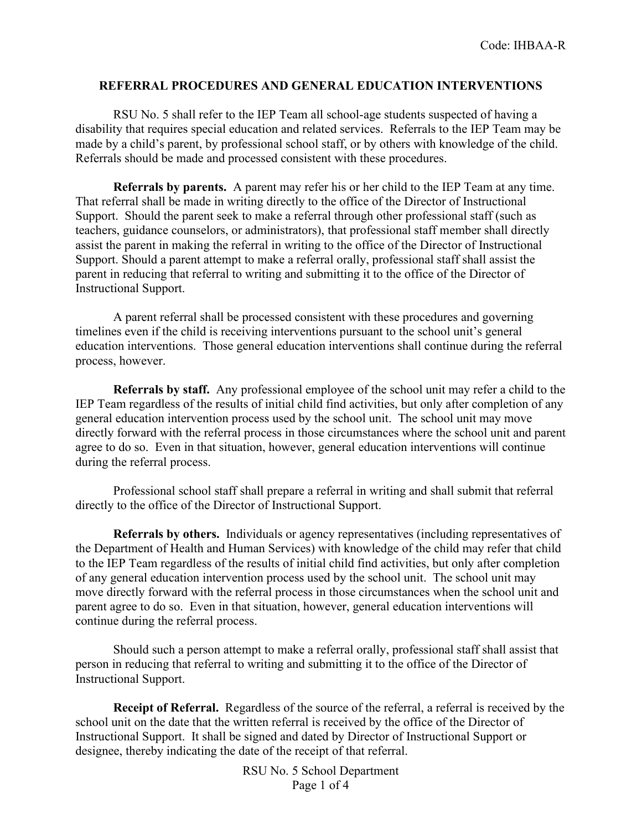## **REFERRAL PROCEDURES AND GENERAL EDUCATION INTERVENTIONS**

RSU No. 5 shall refer to the IEP Team all school-age students suspected of having a disability that requires special education and related services. Referrals to the IEP Team may be made by a child's parent, by professional school staff, or by others with knowledge of the child. Referrals should be made and processed consistent with these procedures.

**Referrals by parents.** A parent may refer his or her child to the IEP Team at any time. That referral shall be made in writing directly to the office of the Director of Instructional Support. Should the parent seek to make a referral through other professional staff (such as teachers, guidance counselors, or administrators), that professional staff member shall directly assist the parent in making the referral in writing to the office of the Director of Instructional Support. Should a parent attempt to make a referral orally, professional staff shall assist the parent in reducing that referral to writing and submitting it to the office of the Director of Instructional Support.

A parent referral shall be processed consistent with these procedures and governing timelines even if the child is receiving interventions pursuant to the school unit's general education interventions. Those general education interventions shall continue during the referral process, however.

**Referrals by staff.** Any professional employee of the school unit may refer a child to the IEP Team regardless of the results of initial child find activities, but only after completion of any general education intervention process used by the school unit. The school unit may move directly forward with the referral process in those circumstances where the school unit and parent agree to do so. Even in that situation, however, general education interventions will continue during the referral process.

Professional school staff shall prepare a referral in writing and shall submit that referral directly to the office of the Director of Instructional Support.

**Referrals by others.** Individuals or agency representatives (including representatives of the Department of Health and Human Services) with knowledge of the child may refer that child to the IEP Team regardless of the results of initial child find activities, but only after completion of any general education intervention process used by the school unit. The school unit may move directly forward with the referral process in those circumstances when the school unit and parent agree to do so. Even in that situation, however, general education interventions will continue during the referral process.

Should such a person attempt to make a referral orally, professional staff shall assist that person in reducing that referral to writing and submitting it to the office of the Director of Instructional Support.

**Receipt of Referral.** Regardless of the source of the referral, a referral is received by the school unit on the date that the written referral is received by the office of the Director of Instructional Support. It shall be signed and dated by Director of Instructional Support or designee, thereby indicating the date of the receipt of that referral.

> RSU No. 5 School Department Page 1 of 4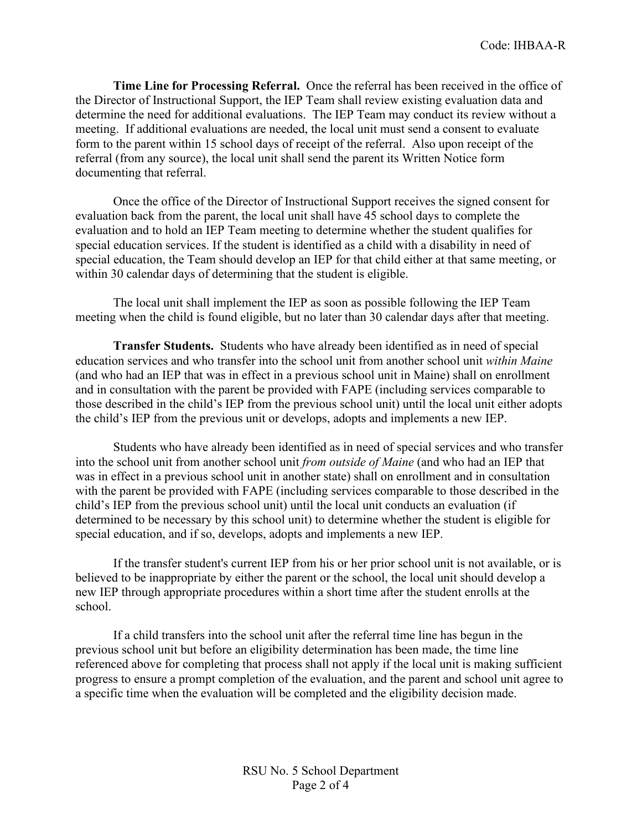**Time Line for Processing Referral.** Once the referral has been received in the office of the Director of Instructional Support, the IEP Team shall review existing evaluation data and determine the need for additional evaluations. The IEP Team may conduct its review without a meeting. If additional evaluations are needed, the local unit must send a consent to evaluate form to the parent within 15 school days of receipt of the referral. Also upon receipt of the referral (from any source), the local unit shall send the parent its Written Notice form documenting that referral.

Once the office of the Director of Instructional Support receives the signed consent for evaluation back from the parent, the local unit shall have 45 school days to complete the evaluation and to hold an IEP Team meeting to determine whether the student qualifies for special education services. If the student is identified as a child with a disability in need of special education, the Team should develop an IEP for that child either at that same meeting, or within 30 calendar days of determining that the student is eligible.

The local unit shall implement the IEP as soon as possible following the IEP Team meeting when the child is found eligible, but no later than 30 calendar days after that meeting.

**Transfer Students.** Students who have already been identified as in need of special education services and who transfer into the school unit from another school unit *within Maine* (and who had an IEP that was in effect in a previous school unit in Maine) shall on enrollment and in consultation with the parent be provided with FAPE (including services comparable to those described in the child's IEP from the previous school unit) until the local unit either adopts the child's IEP from the previous unit or develops, adopts and implements a new IEP.

Students who have already been identified as in need of special services and who transfer into the school unit from another school unit *from outside of Maine* (and who had an IEP that was in effect in a previous school unit in another state) shall on enrollment and in consultation with the parent be provided with FAPE (including services comparable to those described in the child's IEP from the previous school unit) until the local unit conducts an evaluation (if determined to be necessary by this school unit) to determine whether the student is eligible for special education, and if so, develops, adopts and implements a new IEP.

If the transfer student's current IEP from his or her prior school unit is not available, or is believed to be inappropriate by either the parent or the school, the local unit should develop a new IEP through appropriate procedures within a short time after the student enrolls at the school.

If a child transfers into the school unit after the referral time line has begun in the previous school unit but before an eligibility determination has been made, the time line referenced above for completing that process shall not apply if the local unit is making sufficient progress to ensure a prompt completion of the evaluation, and the parent and school unit agree to a specific time when the evaluation will be completed and the eligibility decision made.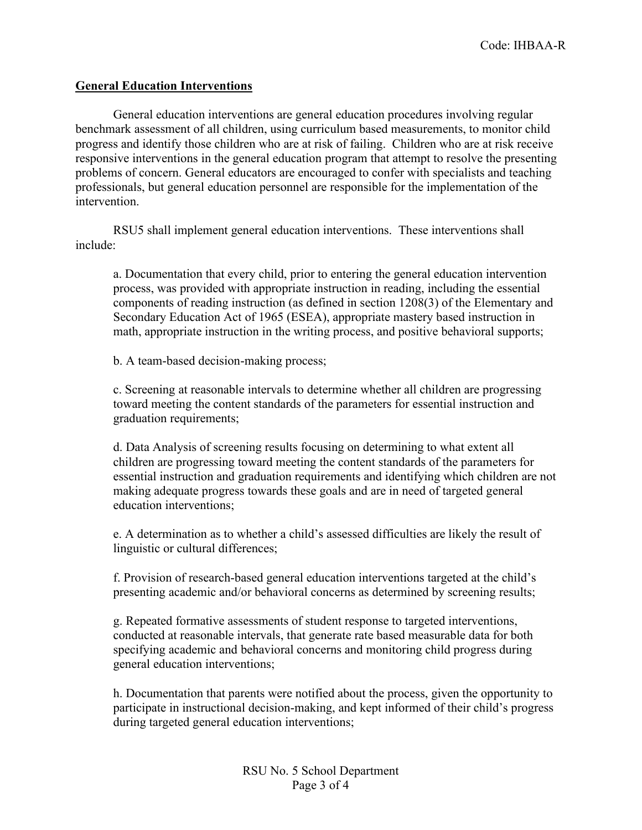## **General Education Interventions**

General education interventions are general education procedures involving regular benchmark assessment of all children, using curriculum based measurements, to monitor child progress and identify those children who are at risk of failing. Children who are at risk receive responsive interventions in the general education program that attempt to resolve the presenting problems of concern. General educators are encouraged to confer with specialists and teaching professionals, but general education personnel are responsible for the implementation of the intervention.

RSU5 shall implement general education interventions. These interventions shall include:

a. Documentation that every child, prior to entering the general education intervention process, was provided with appropriate instruction in reading, including the essential components of reading instruction (as defined in section 1208(3) of the Elementary and Secondary Education Act of 1965 (ESEA), appropriate mastery based instruction in math, appropriate instruction in the writing process, and positive behavioral supports;

b. A team-based decision-making process;

c. Screening at reasonable intervals to determine whether all children are progressing toward meeting the content standards of the parameters for essential instruction and graduation requirements;

d. Data Analysis of screening results focusing on determining to what extent all children are progressing toward meeting the content standards of the parameters for essential instruction and graduation requirements and identifying which children are not making adequate progress towards these goals and are in need of targeted general education interventions;

e. A determination as to whether a child's assessed difficulties are likely the result of linguistic or cultural differences;

f. Provision of research-based general education interventions targeted at the child's presenting academic and/or behavioral concerns as determined by screening results;

g. Repeated formative assessments of student response to targeted interventions, conducted at reasonable intervals, that generate rate based measurable data for both specifying academic and behavioral concerns and monitoring child progress during general education interventions;

h. Documentation that parents were notified about the process, given the opportunity to participate in instructional decision-making, and kept informed of their child's progress during targeted general education interventions;